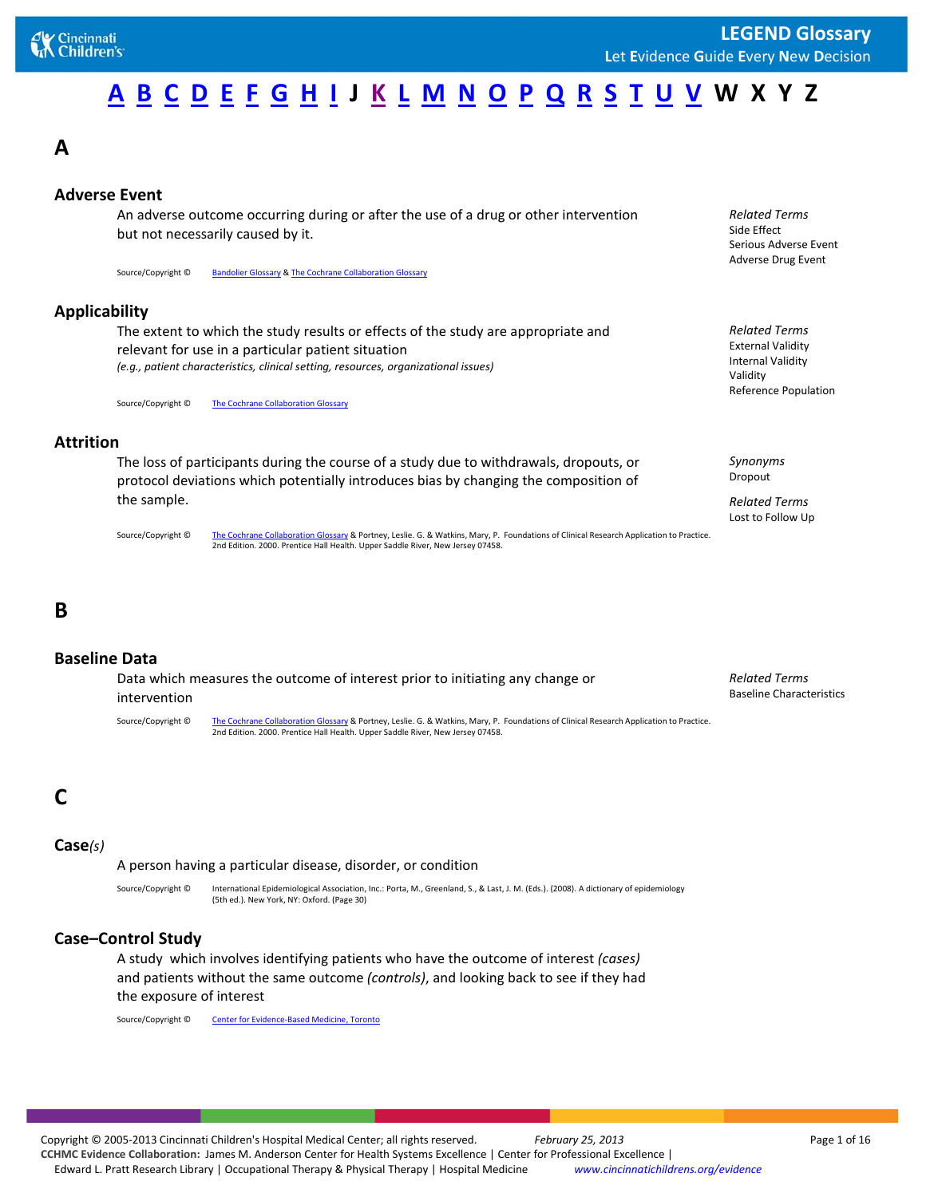# **[A](#page-0-0) [B](#page-0-1) [C](#page-0-2) [D](#page-4-0) [E](#page-4-1) [F](#page-5-0) [G](#page-6-0) [H](#page-6-1) [I](#page-7-0) J [K](#page-7-1) [L](#page-8-0) [M](#page-8-1) [N](#page-9-0) [O](#page-9-1) [P](#page-9-2) [Q](#page-11-0) [R](#page-11-1) [S](#page-12-0) [T](#page-14-0) [U](#page-15-0) [V](#page-15-1) W X Y Z**

# <span id="page-0-0"></span>**A**

### **Adverse Event**

An adverse outcome occurring during or after the use of a drug or other intervention but not necessarily caused by it.

Source/Copyright © [Bandolier Glossary](http://www.medicine.ox.ac.uk/bandolier/booth/glossary/adverse.html) [& The Cochrane Collaboration Glossary](http://www.cochrane.org/glossary/5#term85)

### **Applicability**

The extent to which the study results or effects of the study are appropriate and relevant for use in a particular patient situation *(e.g., patient characteristics, clinical setting, resources, organizational issues)*

Source/Copyright © [The Cochrane Collaboration Glossary](http://www.cochrane.org/glossary/5#term121)

### **Attrition**

The loss of participants during the course of a study due to withdrawals, dropouts, or protocol deviations which potentially introduces bias by changing the composition of the sample.

Source/Copyright © [The Cochrane Collaboration Glossary](http://www.cochrane.org/glossary/5#term121) & Portney, Leslie. G. & Watkins, Mary, P. Foundations of Clinical Research Application to Practice. 2nd Edition. 2000. Prentice Hall Health. Upper Saddle River, New Jersey 07458.

### <span id="page-0-1"></span>**B**

#### **Baseline Data**

Data which measures the outcome of interest prior to initiating any change or intervention

Source/Copyright © [The Cochrane Collaboration Glossary](http://www.cochrane.org/glossary/5#term121) & Portney, Leslie. G. & Watkins, Mary, P. Foundations of Clinical Research Application to Practice. 2nd Edition. 2000. Prentice Hall Health. Upper Saddle River, New Jersey 07458.

# <span id="page-0-2"></span>**C**

#### **Case***(s)*

A person having a particular disease, disorder, or condition

Source/Copyright © International Epidemiological Association, Inc.: Porta, M., Greenland, S., & Last, J. M. (Eds.). (2008). A dictionary of epidemiology (5th ed.). New York, NY: Oxford. (Page 30)

### **Case–Control Study**

A study which involves identifying patients who have the outcome of interest *(cases)* and patients without the same outcome *(controls)*, and looking back to see if they had the exposure of interest

Source/Copyright © [Center for Evidence-Based Medicine, Toronto](http://ktclearinghouse.ca/cebm/glossary/#glossary_treatmenteffects)

Copyright © 2005-2013 Cincinnati Children's Hospital Medical Center; all rights reserved. *February 25, 2013* Page 1 of 16 **CCHMC Evidence Collaboration:** James M. Anderson Center for Health Systems Excellence | Center for Professional Excellence | Edward L. Pratt Research Library | Occupational Therapy & Physical Therapy | Hospital Medicine *www.cincinnatichildrens.org/evidence*

*Related Terms* Side Effect Serious Adverse Event Adverse Drug Event

*Related Terms* External Validity Internal Validity Validity Reference Population

*Synonyms* Dropout

*Related Terms* Lost to Follow Up

*Related Terms* Baseline Characteristics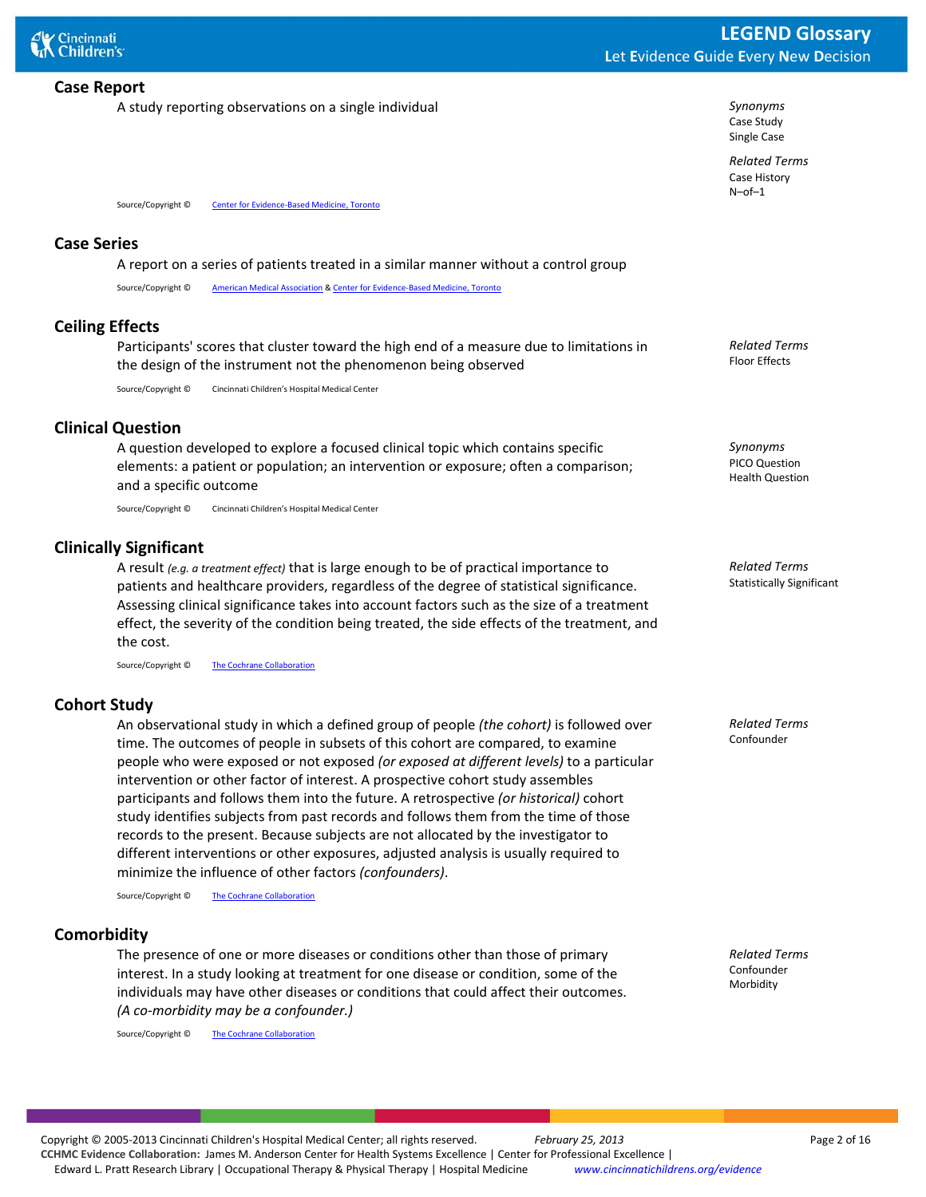### **Case Report**

A study reporting observations on a single individual *Synonyms*

#### **Case Series**

A report on a series of patients treated in a similar manner without a control group

Source/Copyright © [American Medical Association](http://www.jamaevidence.com/glossary/C) [& Center for Evidence-Based Medicine, Toronto](http://ktclearinghouse.ca/cebm/glossary/#glossary_treatmenteffects)

#### **Ceiling Effects**

Participants' scores that cluster toward the high end of a measure due to limitations in the design of the instrument not the phenomenon being observed

Source/Copyright © Cincinnati Children's Hospital Medical Center

Source/Copyright © [Center for Evidence-Based Medicine, Toronto](http://ktclearinghouse.ca/cebm/glossary/#glossary_treatmenteffects)

### **Clinical Question**

A question developed to explore a focused clinical topic which contains specific elements: a patient or population; an intervention or exposure; often a comparison; and a specific outcome

Source/Copyright © Cincinnati Children's Hospital Medical Center

#### **Clinically Significant**

A result *(e.g. a treatment effect)* that is large enough to be of practical importance to patients and healthcare providers, regardless of the degree of statistical significance. Assessing clinical significance takes into account factors such as the size of a treatment effect, the severity of the condition being treated, the side effects of the treatment, and the cost.

Source/Copyright © [The Cochrane Collaboration](http://www.cochrane.org/glossary/5#letterc)

### **Cohort Study**

An observational study in which a defined group of people *(the cohort)* is followed over time. The outcomes of people in subsets of this cohort are compared, to examine people who were exposed or not exposed *(or exposed at different levels)* to a particular intervention or other factor of interest. A prospective cohort study assembles participants and follows them into the future. A retrospective *(or historical)* cohort study identifies subjects from past records and follows them from the time of those records to the present. Because subjects are not allocated by the investigator to different interventions or other exposures, adjusted analysis is usually required to minimize the influence of other factors *(confounders)*.

Source/Copyright © [The Cochrane Collaboration](http://www.cochrane.org/glossary/5#letterc)

### **Comorbidity**

The presence of one or more diseases or conditions other than those of primary interest. In a study looking at treatment for one disease or condition, some of the individuals may have other diseases or conditions that could affect their outcomes. *(A co-morbidity may be a confounder.)*

Source/Copyright © [The Cochrane Collaboration](http://www.cochrane.org/glossary/5#letterc)

**LEGEND Glossary L**et **E**vidence **G**uide **E**very **N**ew **D**ecision

> Case Study Single Case

*Related Terms* Case History N–of–1

*Related Terms* Floor Effects

*Synonyms* PICO Question Health Question

*Related Terms* Statistically Significant

*Related Terms* Confounder

*Related Terms* Confounder Morbidity

Copyright © 2005-2013 Cincinnati Children's Hospital Medical Center; all rights reserved. *February 25, 2013* Page 2 of 16 **CCHMC Evidence Collaboration:** James M. Anderson Center for Health Systems Excellence | Center for Professional Excellence | Edward L. Pratt Research Library | Occupational Therapy & Physical Therapy | Hospital Medicine *www.cincinnatichildrens.org/evidence*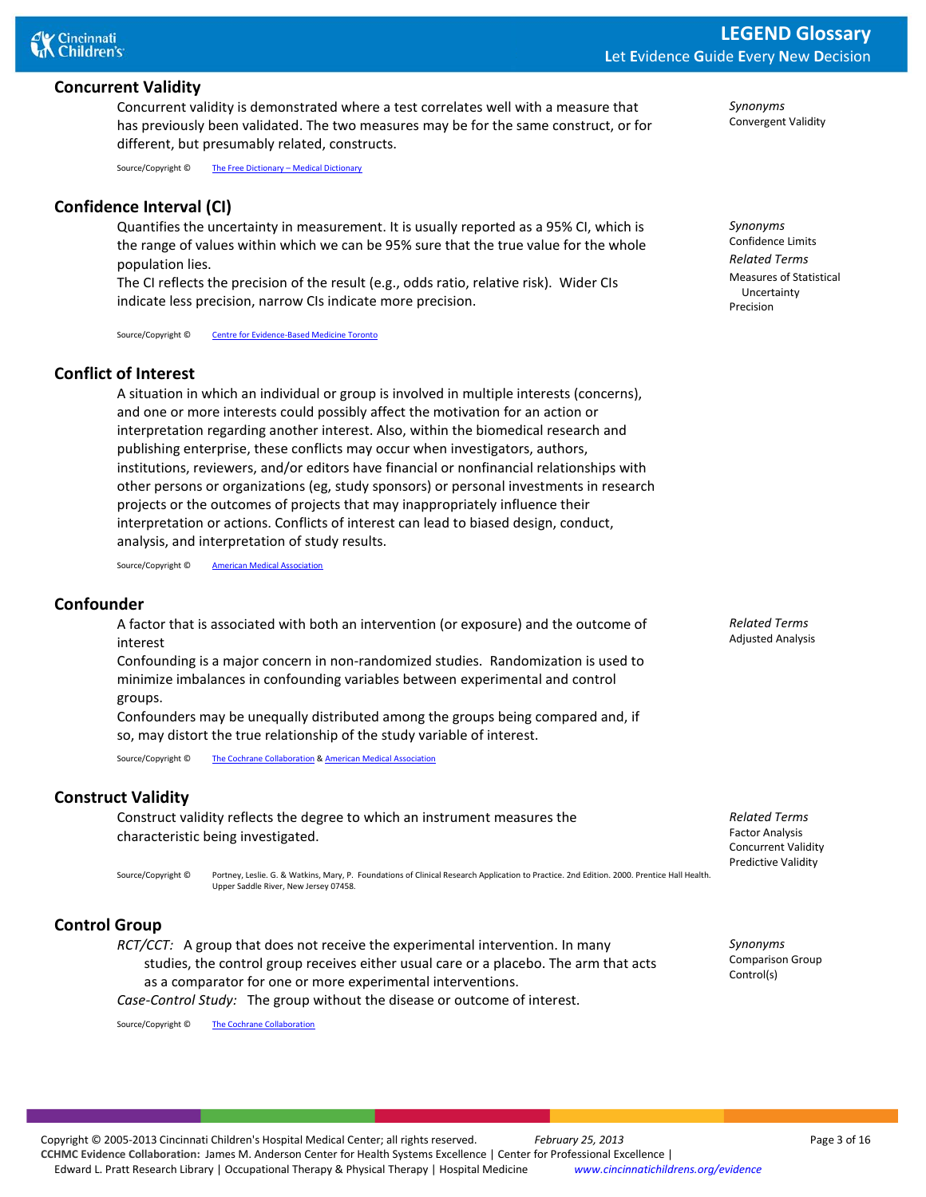

### **Concurrent Validity**

Concurrent validity is demonstrated where a test correlates well with a measure that has previously been validated. The two measures may be for the same construct, or for different, but presumably related, constructs.

Source/Copyright © [The Free Dictionary –](http://encyclopedia.thefreedictionary.com/concurrent+validity) Medical Dictionary

### **Confidence Interval (CI)**

Quantifies the uncertainty in measurement. It is usually reported as a 95% CI, which is the range of values within which we can be 95% sure that the true value for the whole population lies.

The CI reflects the precision of the result (e.g., odds ratio, relative risk). Wider CIs indicate less precision, narrow CIs indicate more precision.

Source/Copyright © [Centre for Evidence-Based Medicine Toronto](http://ktclearinghouse.ca/cebm/glossary/#glossary_c)

### **Conflict of Interest**

A situation in which an individual or group is involved in multiple interests (concerns), and one or more interests could possibly affect the motivation for an action or interpretation regarding another interest. Also, within the biomedical research and publishing enterprise, these conflicts may occur when investigators, authors, institutions, reviewers, and/or editors have financial or nonfinancial relationships with other persons or organizations (eg, study sponsors) or personal investments in research projects or the outcomes of projects that may inappropriately influence their interpretation or actions. Conflicts of interest can lead to biased design, conduct, analysis, and interpretation of study results.

Source/Copyright © [American Medical Association](http://www.jamaevidence.com/glossary/C)

#### **Confounder**

A factor that is associated with both an intervention (or exposure) and the outcome of interest

Confounding is a major concern in non-randomized studies. Randomization is used to minimize imbalances in confounding variables between experimental and control groups.

Confounders may be unequally distributed among the groups being compared and, if so, may distort the true relationship of the study variable of interest.

Source/Copyright © The [Cochrane Collaboration](http://www.cochrane.org/glossary/5#term121) [& American Medical Association](http://www.jamaevidence.com/glossary/C)

### **Construct Validity**

Construct validity reflects the degree to which an instrument measures the characteristic being investigated.

Source/Copyright © Portney, Leslie. G. & Watkins, Mary, P. Foundations of Clinical Research Application to Practice. 2nd Edition. 2000. Prentice Hall Health. Upper Saddle River, New Jersey 07458.

### **Control Group**

*RCT/CCT:* A group that does not receive the experimental intervention. In many studies, the control group receives either usual care or a placebo. The arm that acts as a comparator for one or more experimental interventions.

*Case-Control Study:* The group without the disease or outcome of interest.

Source/Copyright © [The Cochrane Collaboration](http://www.cochrane.org/glossary/5#term121)

*Synonyms* Convergent Validity

*Synonyms* Confidence Limits *Related Terms* Measures of Statistical Uncertainty Precision

*Related Terms* Adjusted Analysis

*Related Terms* Factor Analysis Concurrent Validity Predictive Validity

*Synonyms* Comparison Group Control(s)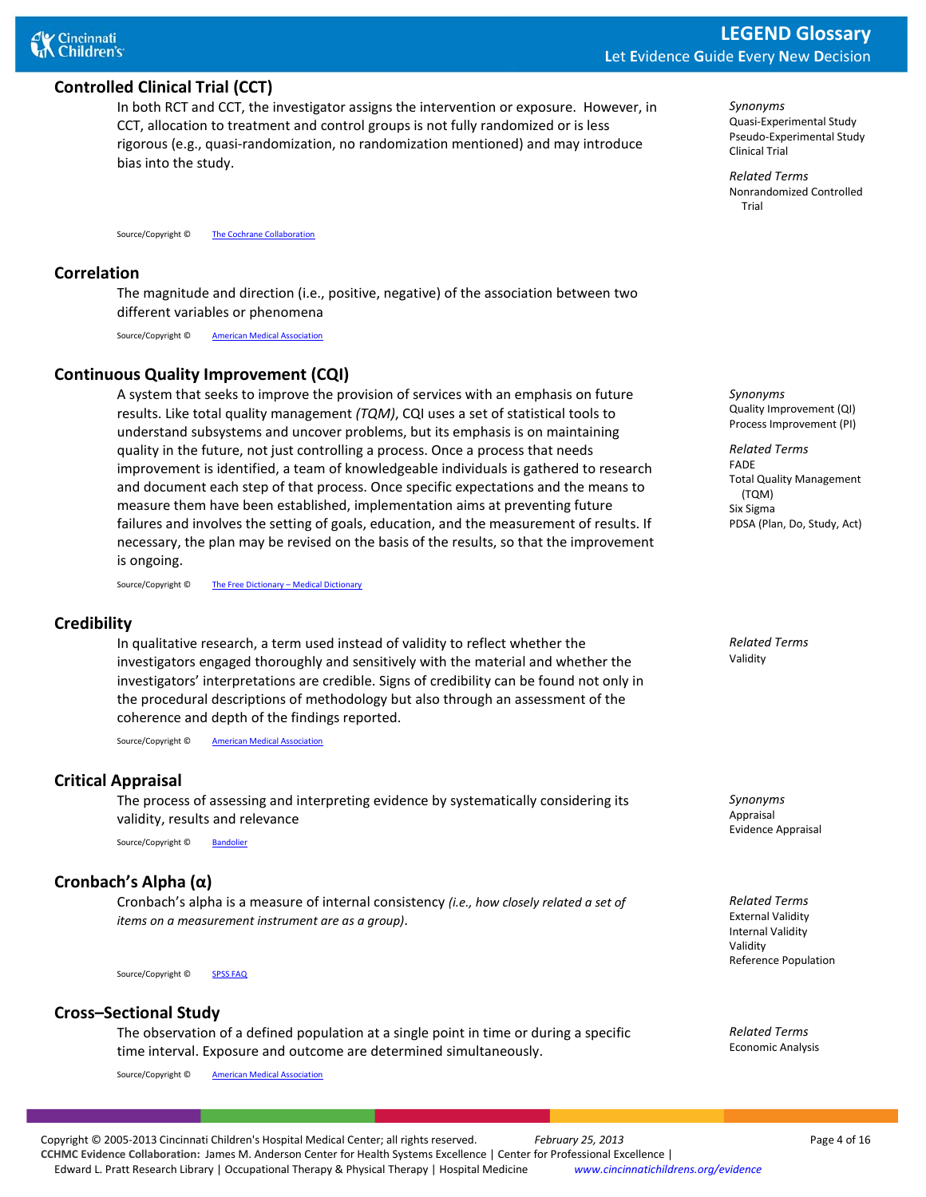### **Controlled Clinical Trial (CCT)**

In both RCT and CCT, the investigator assigns the intervention or exposure. However, in CCT, allocation to treatment and control groups is not fully randomized or is less rigorous (e.g., quasi-randomization, no randomization mentioned) and may introduce bias into the study.

Source/Copyright © [The Cochrane Collaboration](http://www.cochrane.org/glossary/5#term121)

### **Correlation**

The magnitude and direction (i.e., positive, negative) of the association between two different variables or phenomena

Source/Copyright © [American Medical Association](http://www.jamaevidence.com/glossary/C)

### **Continuous Quality Improvement (CQI)**

A system that seeks to improve the provision of services with an emphasis on future results. Like total quality management *(TQM)*, CQI uses a set of statistical tools to understand subsystems and uncover problems, but its emphasis is on maintaining quality in the future, not just controlling a process. Once a process that needs improvement is identified, a team of knowledgeable individuals is gathered to research and document each step of that process. Once specific expectations and the means to measure them have been established, implementation aims at preventing future failures and involves the setting of goals, education, and the measurement of results. If necessary, the plan may be revised on the basis of the results, so that the improvement is ongoing.

Source/Copyright © [The Free Dictionary –](http://medical-dictionary.thefreedictionary.com/Continuous+Quality+Improvement) Medical Dictionary

### **Credibility**

In qualitative research, a term used instead of validity to reflect whether the investigators engaged thoroughly and sensitively with the material and whether the investigators' interpretations are credible. Signs of credibility can be found not only in the procedural descriptions of methodology but also through an assessment of the coherence and depth of the findings reported.

Source/Copyright © [American Medical Association](http://www.jamaevidence.com/glossary/C)

### **Critical Appraisal**

The process of assessing and interpreting evidence by systematically considering its validity, results and relevance

Source/Copyright © [Bandolier](http://www.medicine.ox.ac.uk/bandolier/booth/glossary/Critapp.html)

### **Cronbach's Alpha (α)**

Cronbach's alpha is a measure of internal consistency *(i.e., how closely related a set of items on a measurement instrument are as a group)*.

Source/Copyright © [SPSS FAQ](http://www.ats.ucla.edu/stat/spss/faq/alpha.html)

### **Cross–Sectional Study**

The observation of a defined population at a single point in time or during a specific time interval. Exposure and outcome are determined simultaneously.

Source/Copyright © [American Medical Association](http://www.jamaevidence.com/glossary/C)

*Synonyms* Quasi-Experimental Study Pseudo-Experimental Study Clinical Trial

*Related Terms* Nonrandomized Controlled Trial

*Synonyms* Quality Improvement (QI) Process Improvement (PI)

*Related Terms* FADE Total Quality Management (TQM) Six Sigma PDSA (Plan, Do, Study, Act)

*Related Terms* Validity

*Synonyms* Appraisal Evidence Appraisal

*Related Terms* External Validity Internal Validity Validity Reference Population

*Related Terms* Economic Analysis

Copyright © 2005-2013 Cincinnati Children's Hospital Medical Center; all rights reserved. *February 25, 2013* Page 4 of 16 **CCHMC Evidence Collaboration:** James M. Anderson Center for Health Systems Excellence | Center for Professional Excellence | Edward L. Pratt Research Library | Occupational Therapy & Physical Therapy | Hospital Medicine *www.cincinnatichildrens.org/evidence*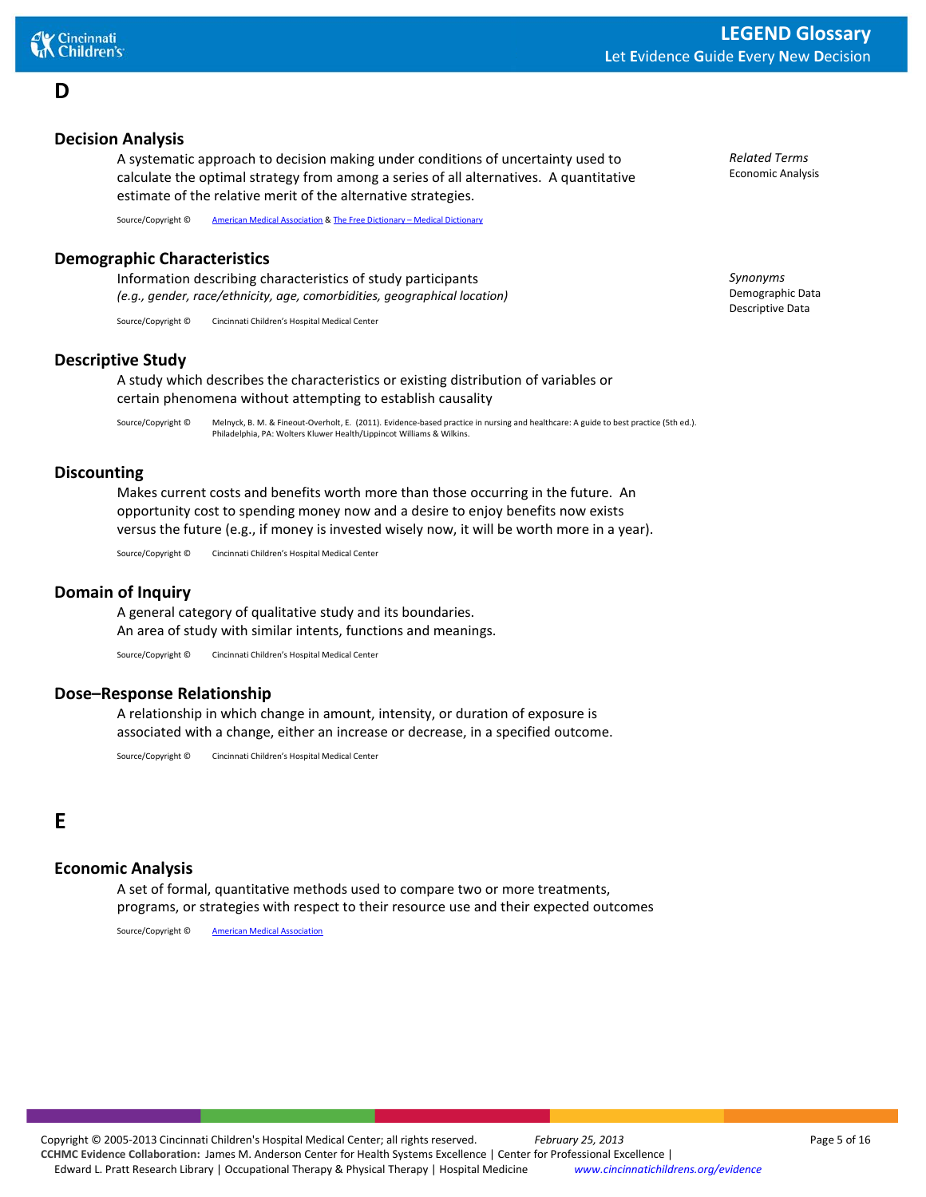### <span id="page-4-0"></span>**D**

### **Decision Analysis**

A systematic approach to decision making under conditions of uncertainty used to calculate the optimal strategy from among a series of all alternatives. A quantitative estimate of the relative merit of the alternative strategies.

Source/Copyright © [American Medical Association](http://www.jamaevidence.com/glossary/D) [& The Free Dictionary –](http://medical-dictionary.thefreedictionary.com/decision+analysis) Medical Dictionary

### **Demographic Characteristics**

Information describing characteristics of study participants *(e.g., gender, race/ethnicity, age, comorbidities, geographical location)*

Source/Copyright © Cincinnati Children's Hospital Medical Center

#### **Descriptive Study**

A study which describes the characteristics or existing distribution of variables or certain phenomena without attempting to establish causality

Source/Copyright © Melnyck, B. M. & Fineout-Overholt, E. (2011). Evidence-based practice in nursing and healthcare: A guide to best practice (5th ed.). Philadelphia, PA: Wolters Kluwer Health/Lippincot Williams & Wilkins.

### **Discounting**

Makes current costs and benefits worth more than those occurring in the future. An opportunity cost to spending money now and a desire to enjoy benefits now exists versus the future (e.g., if money is invested wisely now, it will be worth more in a year).

Source/Copyright © Cincinnati Children's Hospital Medical Center

### **Domain of Inquiry**

A general category of qualitative study and its boundaries. An area of study with similar intents, functions and meanings.

Source/Copyright © Cincinnati Children's Hospital Medical Center

#### **Dose–Response Relationship**

A relationship in which change in amount, intensity, or duration of exposure is associated with a change, either an increase or decrease, in a specified outcome.

Source/Copyright © Cincinnati Children's Hospital Medical Center

# <span id="page-4-1"></span>**E**

#### **Economic Analysis**

A set of formal, quantitative methods used to compare two or more treatments, programs, or strategies with respect to their resource use and their expected outcomes

Edward L. Pratt Research Library | Occupational Therapy & Physical Therapy | Hospital Medicine *www.cincinnatichildrens.org/evidence*

Source/Copyright © [American Medical Association](http://www.jamaevidence.com/glossary/E)

Copyright © 2005-2013 Cincinnati Children's Hospital Medical Center; all rights reserved. *February 25, 2013* Page 5 of 16 **CCHMC Evidence Collaboration:** James M. Anderson Center for Health Systems Excellence | Center for Professional Excellence |

*Related Terms* Economic Analysis

*Synonyms* Demographic Data Descriptive Data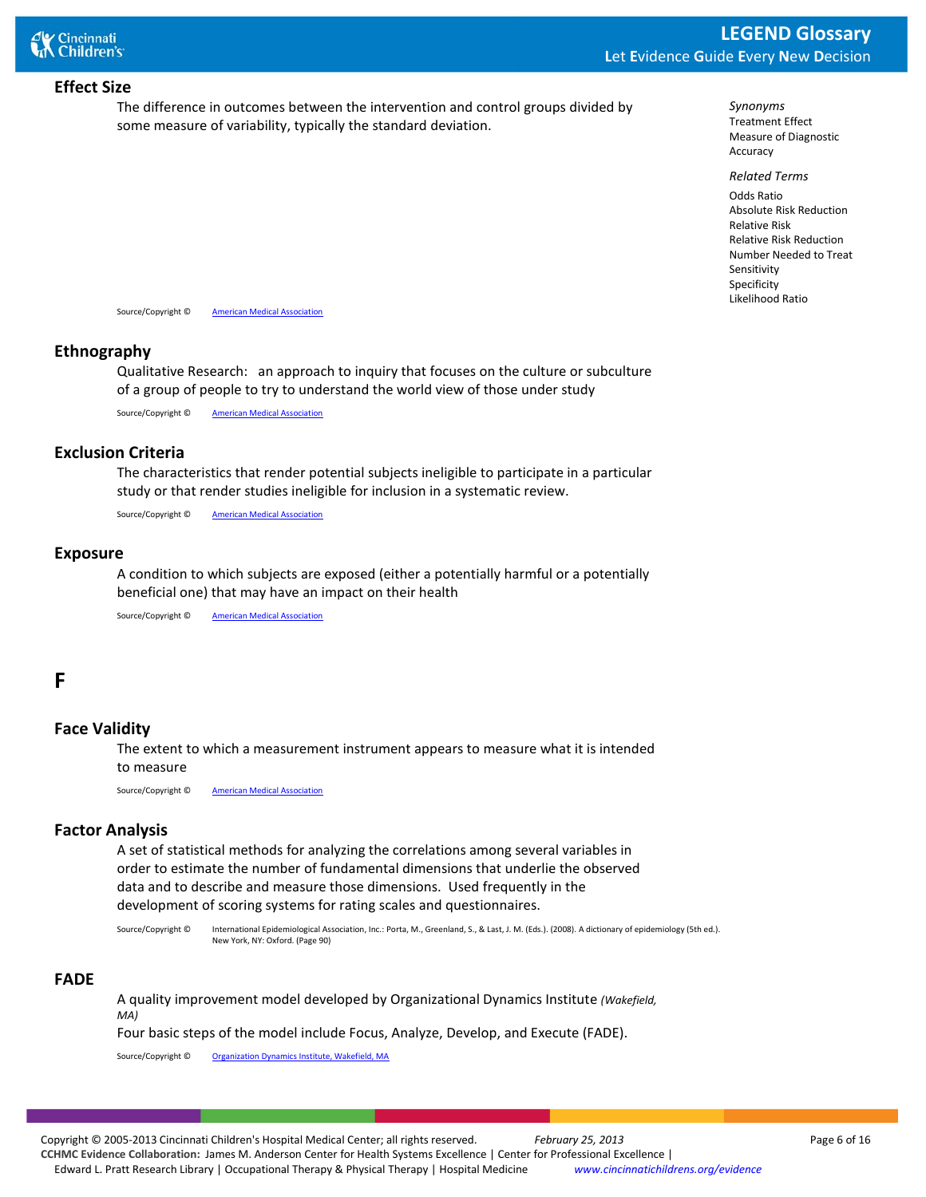

### **Effect Size**

The difference in outcomes between the intervention and control groups divided by some measure of variability, typically the standard deviation.

*Synonyms* Treatment Effect Measure of Diagnostic Accuracy

#### *Related Terms*

Odds Ratio Absolute Risk Reduction Relative Risk Relative Risk Reduction Number Needed to Treat Sensitivity Specificity Likelihood Ratio

Source/Copyright © [American Medical Association](http://www.jamaevidence.com/glossary/E)

#### **Ethnography**

Qualitative Research: an approach to inquiry that focuses on the culture or subculture of a group of people to try to understand the world view of those under study

Source/Copyright © [American Medical Association](http://www.jamaevidence.com/glossary/E)

### **Exclusion Criteria**

The characteristics that render potential subjects ineligible to participate in a particular study or that render studies ineligible for inclusion in a systematic review.

Source/Copyright © [American Medical Association](http://www.jamaevidence.com/glossary/E)

#### **Exposure**

A condition to which subjects are exposed (either a potentially harmful or a potentially beneficial one) that may have an impact on their health

Source/Copyright © [American Medical Association](http://www.jamaevidence.com/glossary/E)

# <span id="page-5-0"></span>**F**

#### **Face Validity**

The extent to which a measurement instrument appears to measure what it is intended to measure

Source/Copyright © [American Medical Association](http://www.jamaevidence.com/glossary/F)

### **Factor Analysis**

A set of statistical methods for analyzing the correlations among several variables in order to estimate the number of fundamental dimensions that underlie the observed data and to describe and measure those dimensions. Used frequently in the development of scoring systems for rating scales and questionnaires.

Source/Copyright © International Epidemiological Association, Inc.: Porta, M., Greenland, S., & Last, J. M. (Eds.). (2008). A dictionary of epidemiology (5th ed.). New York, NY: Oxford. (Page 90)

#### **FADE**

A quality improvement model developed by Organizational Dynamics Institute *(Wakefield, MA)* Four basic steps of the model include Focus, Analyze, Develop, and Execute (FADE).

Source/Copyright © [Organization Dynamics Institute, Wakefield, MA](http://orgdynamics.com/index.html)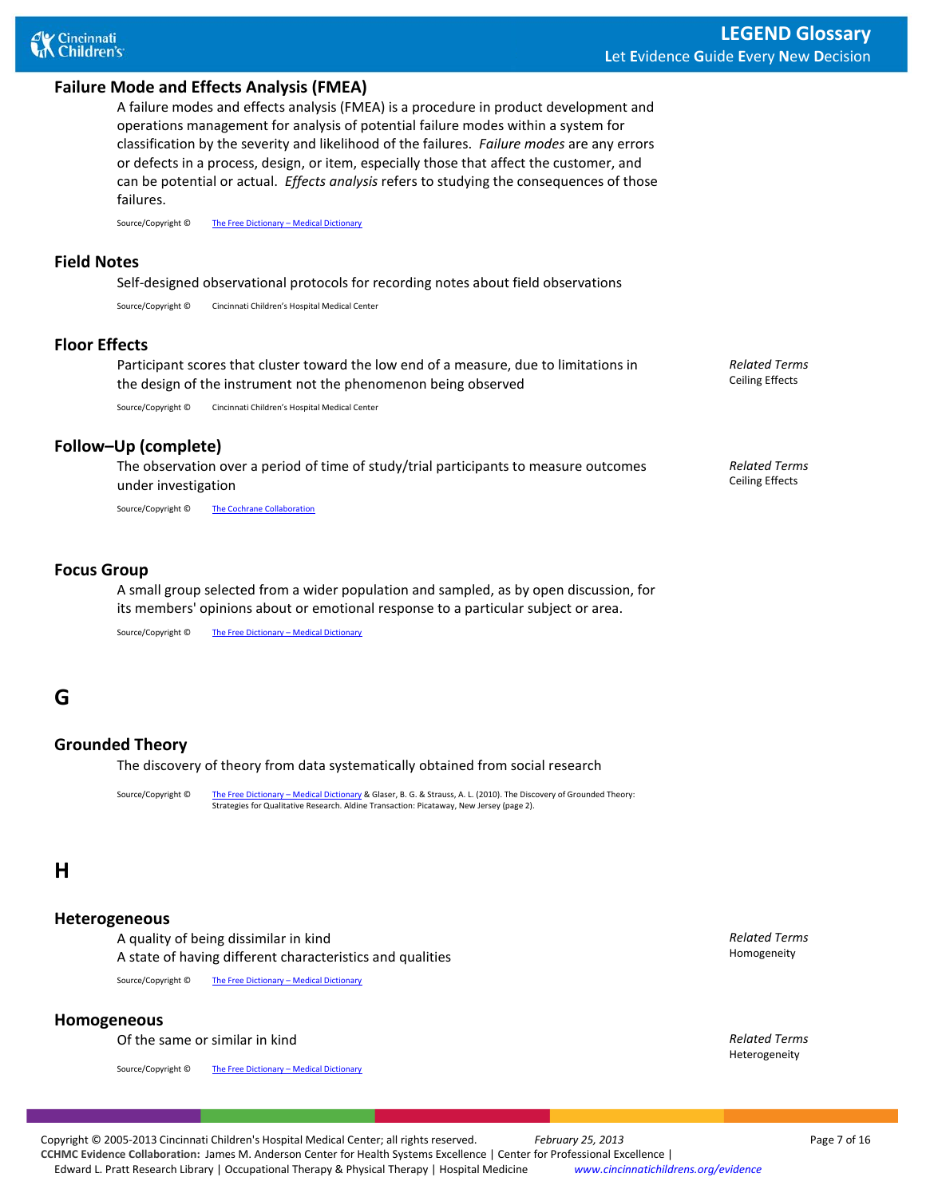### **Failure Mode and Effects Analysis (FMEA)**

A failure modes and effects analysis (FMEA) is a procedure in product development and operations management for analysis of potential failure modes within a system for classification by the severity and likelihood of the failures. *Failure modes* are any errors or defects in a process, design, or item, especially those that affect the customer, and can be potential or actual. *Effects analysis* refers to studying the consequences of those failures.

Source/Copyright © [The Free Dictionary –](http://encyclopedia.thefreedictionary.com/Failure+mode+and+effects+analysis) Medical Diction

#### **Field Notes**

Self-designed observational protocols for recording notes about field observations

Source/Copyright © Cincinnati Children's Hospital Medical Center

### **Floor Effects**

Participant scores that cluster toward the low end of a measure, due to limitations in the design of the instrument not the phenomenon being observed

Source/Copyright © Cincinnati Children's Hospital Medical Center

#### **Follow–Up (complete)**

The observation over a period of time of study/trial participants to measure outcomes under investigation

Source/Copyright © [The Cochrane Collaboration](http://www.cochrane.org/glossary/5#letterf)

#### **Focus Group**

A small group selected from a wider population and sampled, as by open discussion, for its members' opinions about or emotional response to a particular subject or area.

Source/Copyright © [The Free Dictionary –](http://medical-dictionary.thefreedictionary.com/Focus+group) Medical Dictionary

# <span id="page-6-0"></span>**G**

### **Grounded Theory**

The discovery of theory from data systematically obtained from social research

Source/Copyright © [The Free Dictionary –](http://encyclopedia.thefreedictionary.com/grounded+theory) Medical Dictionary & Glaser, B. G. & Strauss, A. L. (2010). The Discovery of Grounded Theory: Strategies for Qualitative Research. Aldine Transaction: Picataway, New Jersey (page 2).

### <span id="page-6-1"></span>**H**

#### **Heterogeneous**

A quality of being dissimilar in kind A state of having different characteristics and qualities

Source/Copyright © [The Free Dictionary –](http://medical-dictionary.thefreedictionary.com/heterogeneous) Medical Dictionary

#### **Homogeneous**

Of the same or similar in kind *Related Terms*

Source/Copyright © [The Free Dictionary –](http://medical-dictionary.thefreedictionary.com/homogeneous) Medical Dictionary

*Related Terms* Homogeneity

Heterogeneity

Copyright © 2005-2013 Cincinnati Children's Hospital Medical Center; all rights reserved. *February 25, 2013* Page 7 of 16 **CCHMC Evidence Collaboration:** James M. Anderson Center for Health Systems Excellence | Center for Professional Excellence | Edward L. Pratt Research Library | Occupational Therapy & Physical Therapy | Hospital Medicine *www.cincinnatichildrens.org/evidence*

*Related Terms* Ceiling Effects

*Related Terms* Ceiling Effects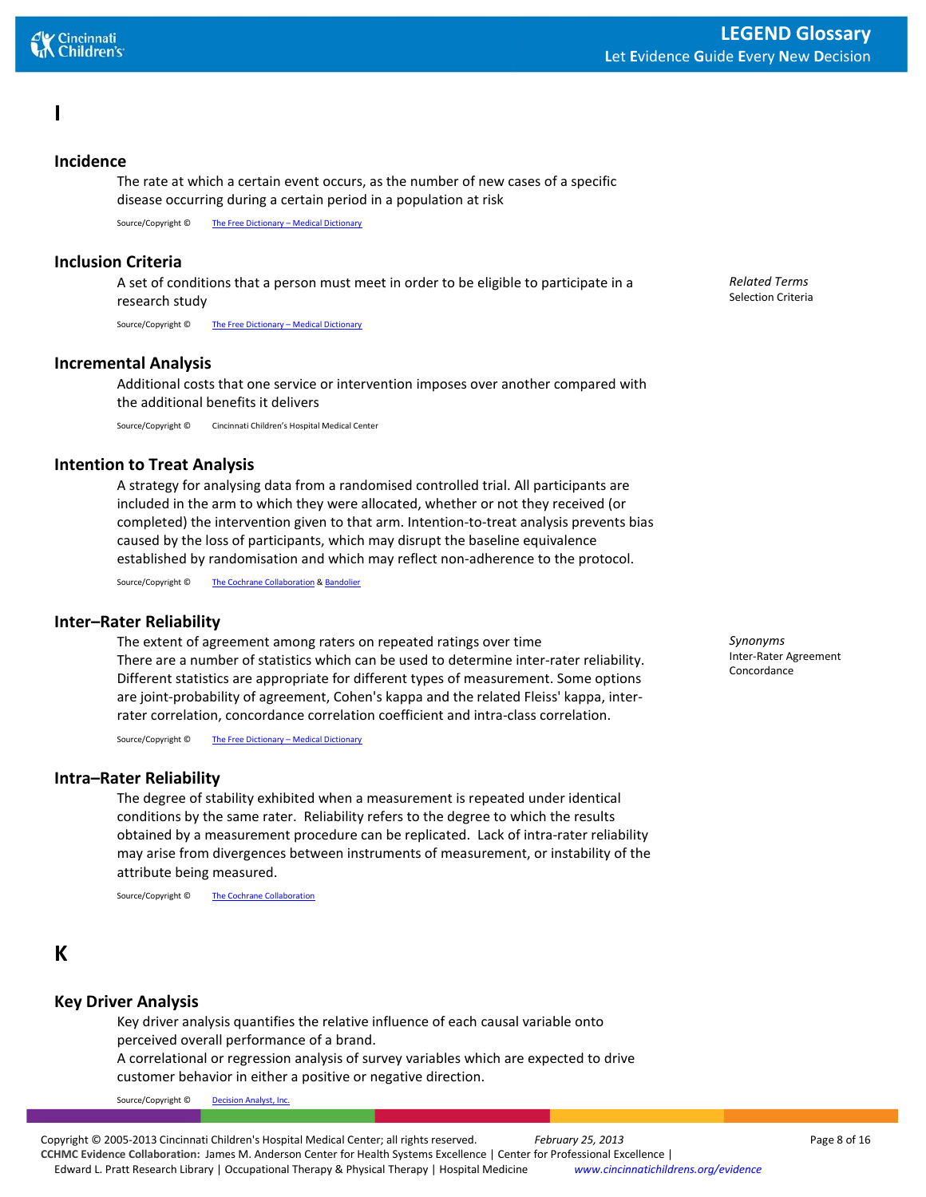*Related Terms* Selection Criteria

# <span id="page-7-0"></span>**I**

### **Incidence**

The rate at which a certain event occurs, as the number of new cases of a specific disease occurring during a certain period in a population at risk

Source/Copyright © [The Free Dictionary –](http://medical-dictionary.thefreedictionary.com/incidence) Medical Dictionary

### **Inclusion Criteria**

A set of conditions that a person must meet in order to be eligible to participate in a research study

Source/Copyright © [The Free Dictionary –](http://encyclopedia.thefreedictionary.com/Inclusion+criteria) Medical Dictionary

### **Incremental Analysis**

Additional costs that one service or intervention imposes over another compared with the additional benefits it delivers

Source/Copyright © Cincinnati Children's Hospital Medical Center

### **Intention to Treat Analysis**

A strategy for analysing data from a randomised controlled trial. All participants are included in the arm to which they were allocated, whether or not they received (or completed) the intervention given to that arm. Intention-to-treat analysis prevents bias caused by the loss of participants, which may disrupt the baseline equivalence established by randomisation and which may reflect non-adherence to the protocol.

Source/Copyright © [The Cochrane Collaboration](http://www.cochrane.org/glossary/) [& Bandolier](http://www.medicine.ox.ac.uk/bandolier/booth/glossary/ITT.html)

#### **Inter–Rater Reliability**

The extent of agreement among raters on repeated ratings over time There are a number of statistics which can be used to determine inter-rater reliability. Different statistics are appropriate for different types of measurement. Some options are joint-probability of agreement, Cohen's kappa and the related Fleiss' kappa, interrater correlation, concordance correlation coefficient and intra-class correlation.

Source/Copyright © [The Free Dictionary –](http://encyclopedia.thefreedictionary.com/Inter-rater+reliability) Medical Dictionary

#### **Intra–Rater Reliability**

The degree of stability exhibited when a measurement is repeated under identical conditions by the same rater. Reliability refers to the degree to which the results obtained by a measurement procedure can be replicated. Lack of intra-rater reliability may arise from divergences between instruments of measurement, or instability of the attribute being measured.

Source/Copyright © [The Cochrane Collaboration](http://www.cochrane.org/glossary/5#term272)

# <span id="page-7-1"></span>**K**

### **Key Driver Analysis**

Key driver analysis quantifies the relative influence of each causal variable onto perceived overall performance of a brand.

A correlational or regression analysis of survey variables which are expected to drive customer behavior in either a positive or negative direction.

Source/Copyright ©

*Synonyms* Inter-Rater Agreement Concordance

Copyright © 2005-2013 Cincinnati Children's Hospital Medical Center; all rights reserved. *February 25, 2013* Page 8 of 16 **CCHMC Evidence Collaboration:** James M. Anderson Center for Health Systems Excellence | Center for Professional Excellence | Edward L. Pratt Research Library | Occupational Therapy & Physical Therapy | Hospital Medicine *www.cincinnatichildrens.org/evidence*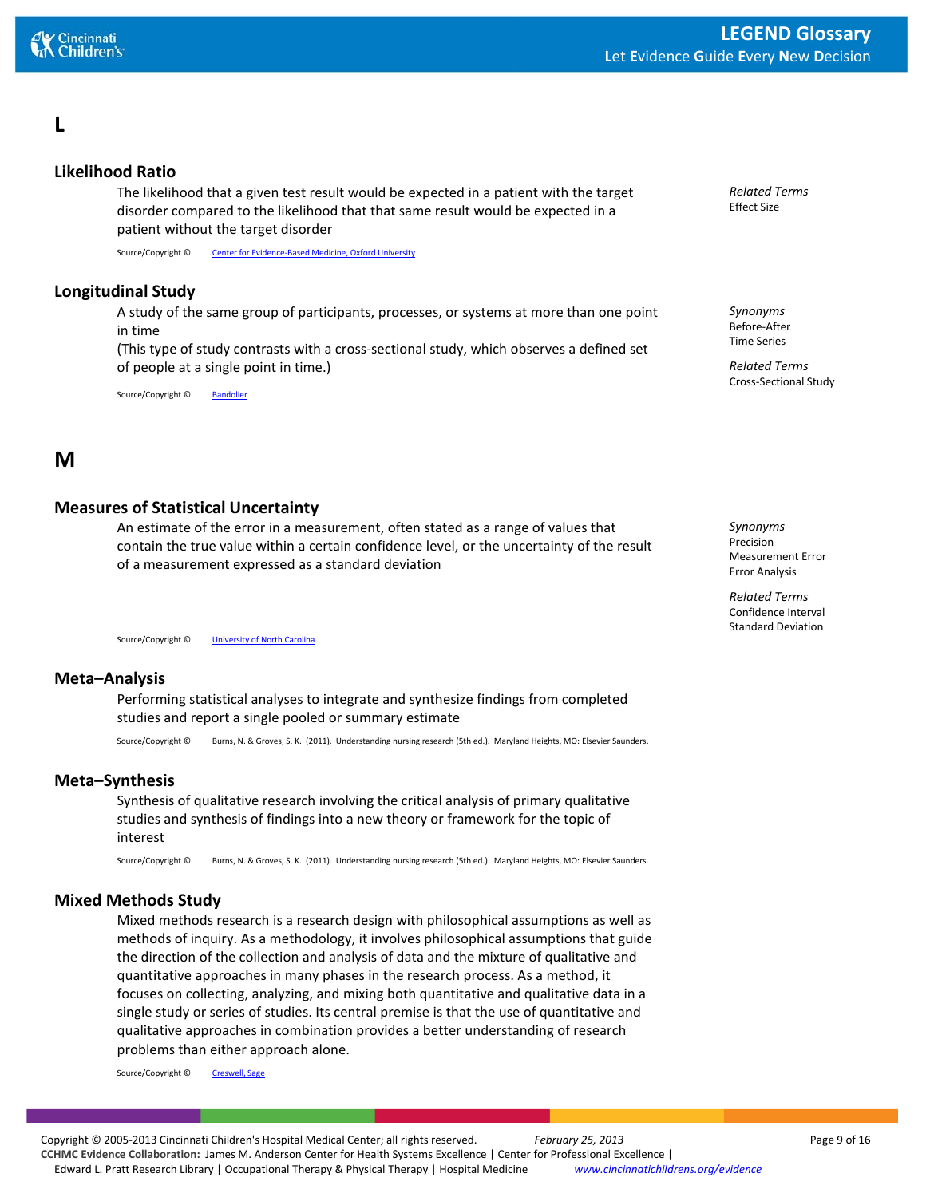# <span id="page-8-0"></span>**L**

### **Likelihood Ratio**

The likelihood that a given test result would be expected in a patient with the target disorder compared to the likelihood that that same result would be expected in a patient without the target disorder

Source/Copyright © [Center for Evidence-Based Medicine, Oxford University](http://www.cebm.net/index.aspx?o=1043)

### **Longitudinal Study**

A study of the same group of participants, processes, or systems at more than one point in time

(This type of study contrasts with a cross-sectional study, which observes a defined set of people at a single point in time.)

Source/Copyright © [Bandolier](http://www.medicine.ox.ac.uk/bandolier/booth/glossary/longit.html)

# <span id="page-8-1"></span>**M**

### **Measures of Statistical Uncertainty**

An estimate of the error in a measurement, often stated as a range of values that contain the true value within a certain confidence level, or the uncertainty of the result of a measurement expressed as a standard deviation

Source/Copyright © [University of North Carolina](http://www.physics.unc.edu/~deardorf/uncertainty/definitions.html)

### **Meta–Analysis**

Performing statistical analyses to integrate and synthesize findings from completed studies and report a single pooled or summary estimate

Source/Copyright © Burns, N. & Groves, S. K. (2011). Understanding nursing research (5th ed.). Maryland Heights, MO: Elsevier Saunders.

### **Meta–Synthesis**

Synthesis of qualitative research involving the critical analysis of primary qualitative studies and synthesis of findings into a new theory or framework for the topic of interest

Source/Copyright © Burns, N. & Groves, S. K. (2011). Understanding nursing research (5th ed.). Maryland Heights, MO: Elsevier Saunders.

### **Mixed Methods Study**

Mixed methods research is a research design with philosophical assumptions as well as methods of inquiry. As a methodology, it involves philosophical assumptions that guide the direction of the collection and analysis of data and the mixture of qualitative and quantitative approaches in many phases in the research process. As a method, it focuses on collecting, analyzing, and mixing both quantitative and qualitative data in a single study or series of studies. Its central premise is that the use of quantitative and qualitative approaches in combination provides a better understanding of research problems than either approach alone.

Source/Copyright © [Creswell, Sage](http://www.sagepub.com/upm-data/10981_Chapter_1.pdf)

*Related Terms* Effect Size

*Synonyms* Before-After Time Series

*Related Terms* Cross-Sectional Study

*Synonyms* Precision Measurement Error Error Analysis

*Related Terms* Confidence Interval Standard Deviation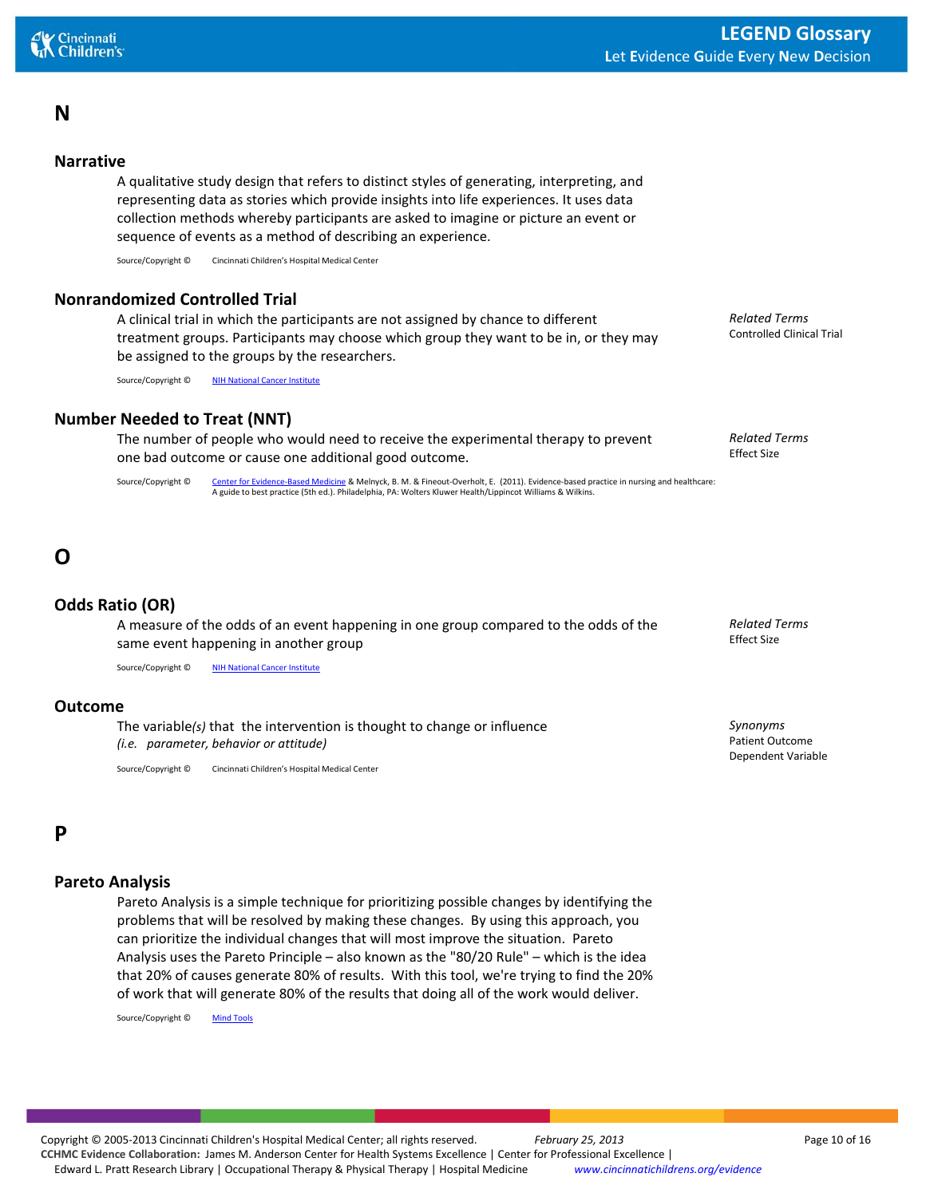# <span id="page-9-0"></span>**N**

### **Narrative**

A qualitative study design that refers to distinct styles of generating, interpreting, and representing data as stories which provide insights into life experiences. It uses data collection methods whereby participants are asked to imagine or picture an event or sequence of events as a method of describing an experience.

Source/Copyright © Cincinnati Children's Hospital Medical Center

### **Nonrandomized Controlled Trial**

A clinical trial in which the participants are not assigned by chance to different treatment groups. Participants may choose which group they want to be in, or they may be assigned to the groups by the researchers.

Source/Copyright © [NIH National Cancer Institute](http://www.cancer.gov/dictionary?cdrid=44160)

### **Number Needed to Treat (NNT)**

The number of people who would need to receive the experimental therapy to prevent one bad outcome or cause one additional good outcome.

Source/Copyright © [Center for Evidence-Based Medicine](http://www.cebm.net/index.aspx?o=1044) & Melnyck, B. M. & Fineout-Overholt, E. (2011). Evidence-based practice in nursing and healthcare: A guide to best practice (5th ed.). Philadelphia, PA: Wolters Kluwer Health/Lippincot Williams & Wilkins.

# <span id="page-9-1"></span>**O**

### **Odds Ratio (OR)**

A measure of the odds of an event happening in one group compared to the odds of the same event happening in another group

Source/Copyright © [NIH National Cancer Institute](http://www.cancer.gov/dictionary?cdrid=618610)

### **Outcome**

The variable*(s)* that the intervention is thought to change or influence *(i.e. parameter, behavior or attitude)*

Source/Copyright © Cincinnati Children's Hospital Medical Center

# <span id="page-9-2"></span>**P**

### **Pareto Analysis**

Pareto Analysis is a simple technique for prioritizing possible changes by identifying the problems that will be resolved by making these changes. By using this approach, you can prioritize the individual changes that will most improve the situation. Pareto Analysis uses the Pareto Principle – also known as the "80/20 Rule" – which is the idea that 20% of causes generate 80% of results. With this tool, we're trying to find the 20% of work that will generate 80% of the results that doing all of the work would deliver.

Source/Copyright © [Mind Tools](http://www.mindtools.com/pages/article/newTED_01.htm)

*Related Terms* Effect Size

*Related Terms* Controlled Clinical Trial

*Related Terms*

*Synonyms* Patient Outcome Dependent Variable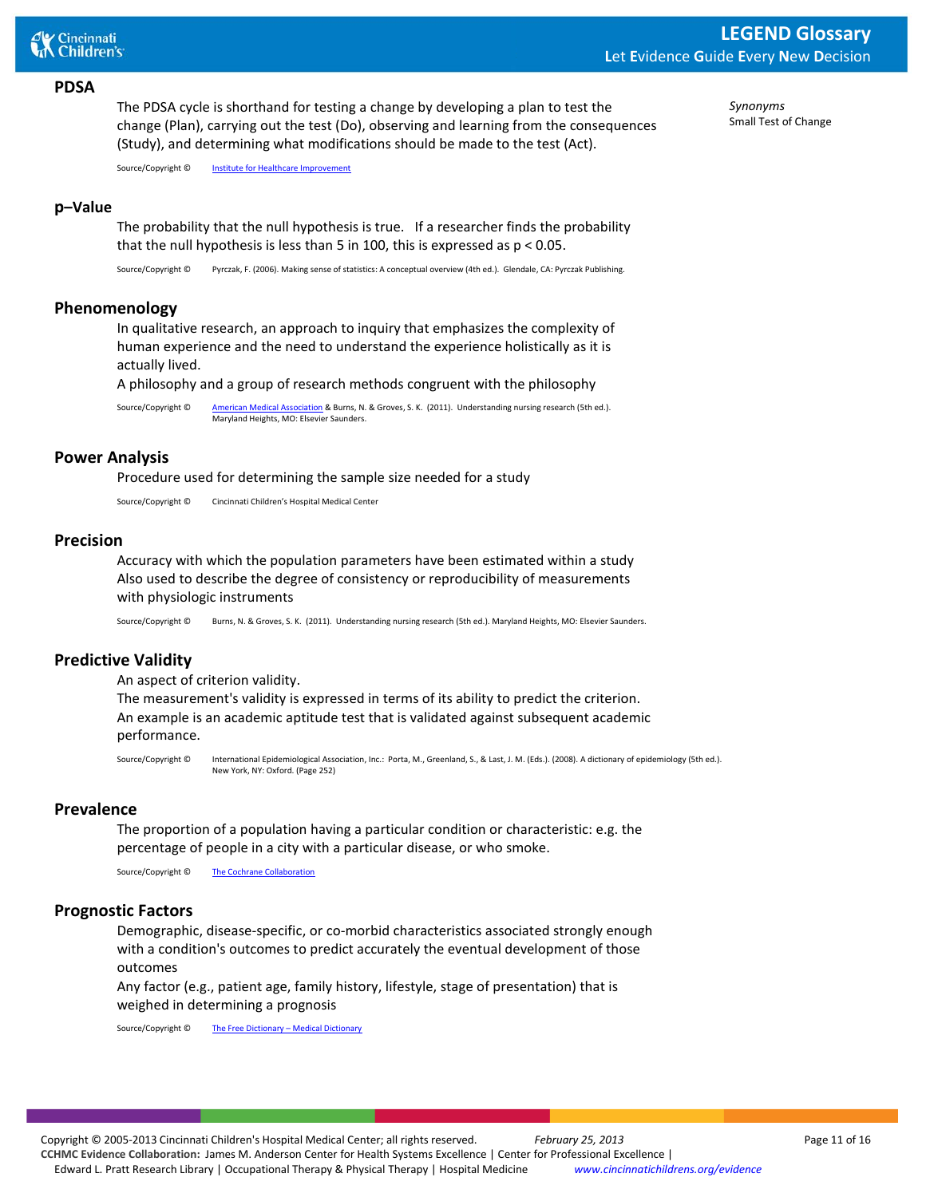#### **PDSA**

The PDSA cycle is shorthand for testing a change by developing a plan to test the change (Plan), carrying out the test (Do), observing and learning from the consequences (Study), and determining what modifications should be made to the test (Act).

*Synonyms* Small Test of Change

Source/Copyright © [Institute for Healthcare Improvement](http://www.ihi.org/knowledge/Pages/Tools/PlanDoStudyActWorksheet.aspx)

#### **p–Value**

The probability that the null hypothesis is true. If a researcher finds the probability that the null hypothesis is less than 5 in 100, this is expressed as  $p < 0.05$ .

Source/Copyright © Pyrczak, F. (2006). Making sense of statistics: A conceptual overview (4th ed.). Glendale, CA: Pyrczak Publishing.

### **Phenomenology**

In qualitative research, an approach to inquiry that emphasizes the complexity of human experience and the need to understand the experience holistically as it is actually lived.

A philosophy and a group of research methods congruent with the philosophy

Source/Copyright © [American Medical Association](http://www.jamaevidence.com/glossary/P) & Burns, N. & Groves, S. K. (2011). Understanding nursing research (5th ed.). Maryland Heights, MO: Elsevier Saunders.

### **Power Analysis**

Procedure used for determining the sample size needed for a study

Source/Copyright © Cincinnati Children's Hospital Medical Center

### **Precision**

Accuracy with which the population parameters have been estimated within a study Also used to describe the degree of consistency or reproducibility of measurements with physiologic instruments

Source/Copyright © Burns, N. & Groves, S. K. (2011). Understanding nursing research (5th ed.). Maryland Heights, MO: Elsevier Saunders.

### **Predictive Validity**

An aspect of criterion validity.

The measurement's validity is expressed in terms of its ability to predict the criterion. An example is an academic aptitude test that is validated against subsequent academic performance.

Source/Copyright © International Epidemiological Association, Inc.: Porta, M., Greenland, S., & Last, J. M. (Eds.). (2008). A dictionary of epidemiology (5th ed.). New York, NY: Oxford. (Page 252)

#### **Prevalence**

The proportion of a population having a particular condition or characteristic: e.g. the percentage of people in a city with a particular disease, or who smoke.

Source/Copyright © [The Cochrane Collaboration](http://www.cochrane.org/glossary/)

### **Prognostic Factors**

Demographic, disease-specific, or co-morbid characteristics associated strongly enough with a condition's outcomes to predict accurately the eventual development of those outcomes

Any factor (e.g., patient age, family history, lifestyle, stage of presentation) that is weighed in determining a prognosis

Source/Copyright © The Free Dictionary - Medical Dictionary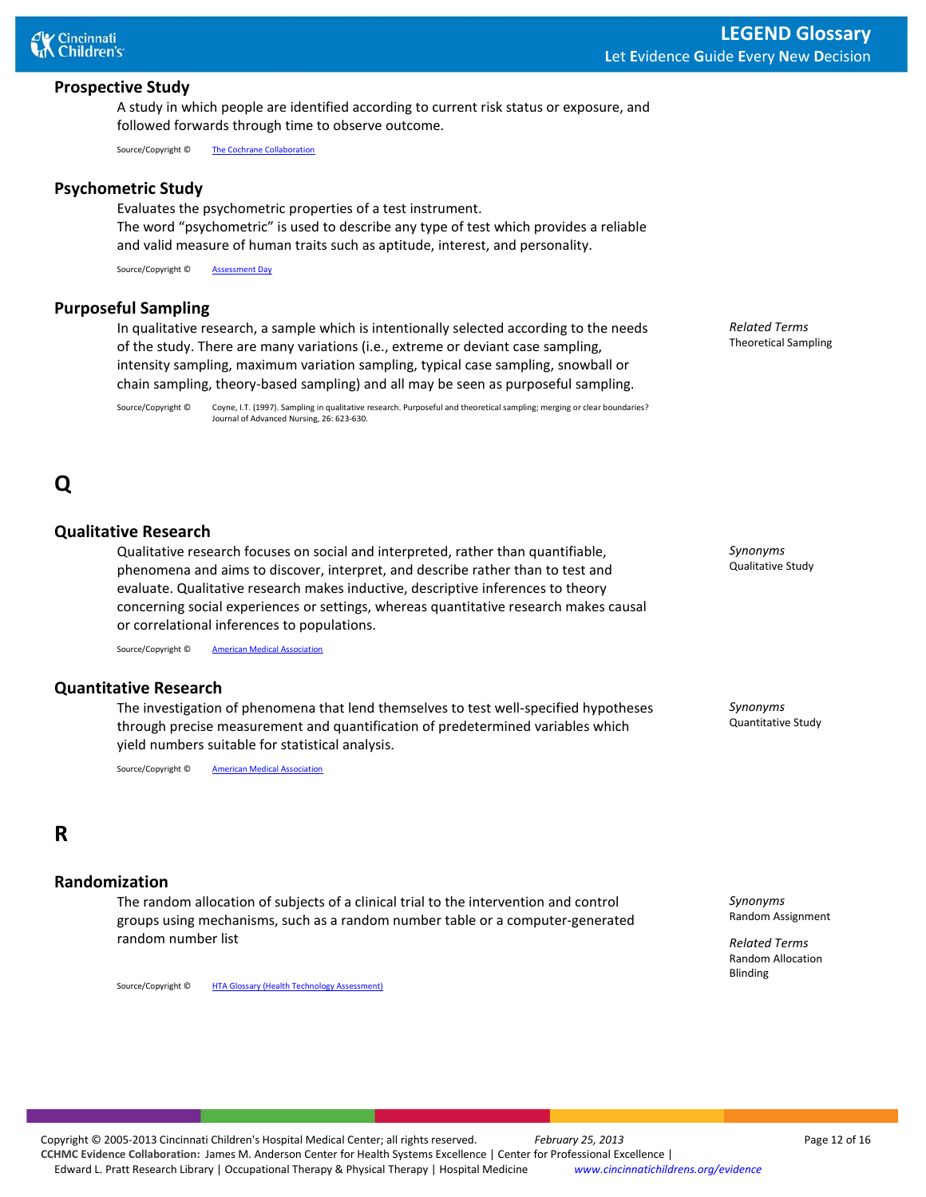

### **Prospective Study**

A study in which people are identified according to current risk status or exposure, and followed forwards through time to observe outcome.

Source/Copyright © [The Cochrane Collaboration](http://www.cochrane.org/glossary/5#letterp)

#### **Psychometric Study**

Evaluates the psychometric properties of a test instrument. The word "psychometric" is used to describe any type of test which provides a reliable and valid measure of human traits such as aptitude, interest, and personality.

Source/Copyright © [Assessment Day](http://www.assessmentday.co.uk/verbal-reasoning-blog/psychometric-tests-2/psychometric-study-and-testing.html)

### **Purposeful Sampling**

In qualitative research, a sample which is intentionally selected according to the needs of the study. There are many variations (i.e., extreme or deviant case sampling, intensity sampling, maximum variation sampling, typical case sampling, snowball or chain sampling, theory-based sampling) and all may be seen as purposeful sampling.

Source/Copyright © Coyne, I.T. (1997). Sampling in qualitative research. Purposeful and theoretical sampling; merging or clear boundaries? Journal of Advanced Nursing, 26: 623-630.

*Related Terms* Theoretical Sampling

<span id="page-11-0"></span>**Q**

### **Qualitative Research**

Qualitative research focuses on social and interpreted, rather than quantifiable, phenomena and aims to discover, interpret, and describe rather than to test and evaluate. Qualitative research makes inductive, descriptive inferences to theory concerning social experiences or settings, whereas quantitative research makes causal or correlational inferences to populations.

Source/Copyright © [American Medical Association](http://www.jamaevidence.com/glossary/Q)

### **Quantitative Research**

The investigation of phenomena that lend themselves to test well-specified hypotheses through precise measurement and quantification of predetermined variables which yield numbers suitable for statistical analysis.

Source/Copyright © [American Medical Association](http://www.jamaevidence.com/glossary/Q)

<span id="page-11-1"></span>**R**

### **Randomization**

The random allocation of subjects of a clinical trial to the intervention and control groups using mechanisms, such as a random number table or a computer-generated random number list

Source/Copyright © [HTA Glossary \(Health Technology Assessment\)](http://htaglossary.net/tiki-index.php?page=validity)

*Synonyms* Qualitative Study

*Synonyms* Quantitative Study

*Synonyms* Random Assignment

*Related Terms* Random Allocation Blinding

Copyright © 2005-2013 Cincinnati Children's Hospital Medical Center; all rights reserved. *February 25, 2013* Page 12 of 16 **CCHMC Evidence Collaboration:** James M. Anderson Center for Health Systems Excellence | Center for Professional Excellence | Edward L. Pratt Research Library | Occupational Therapy & Physical Therapy | Hospital Medicine *www.cincinnatichildrens.org/evidence*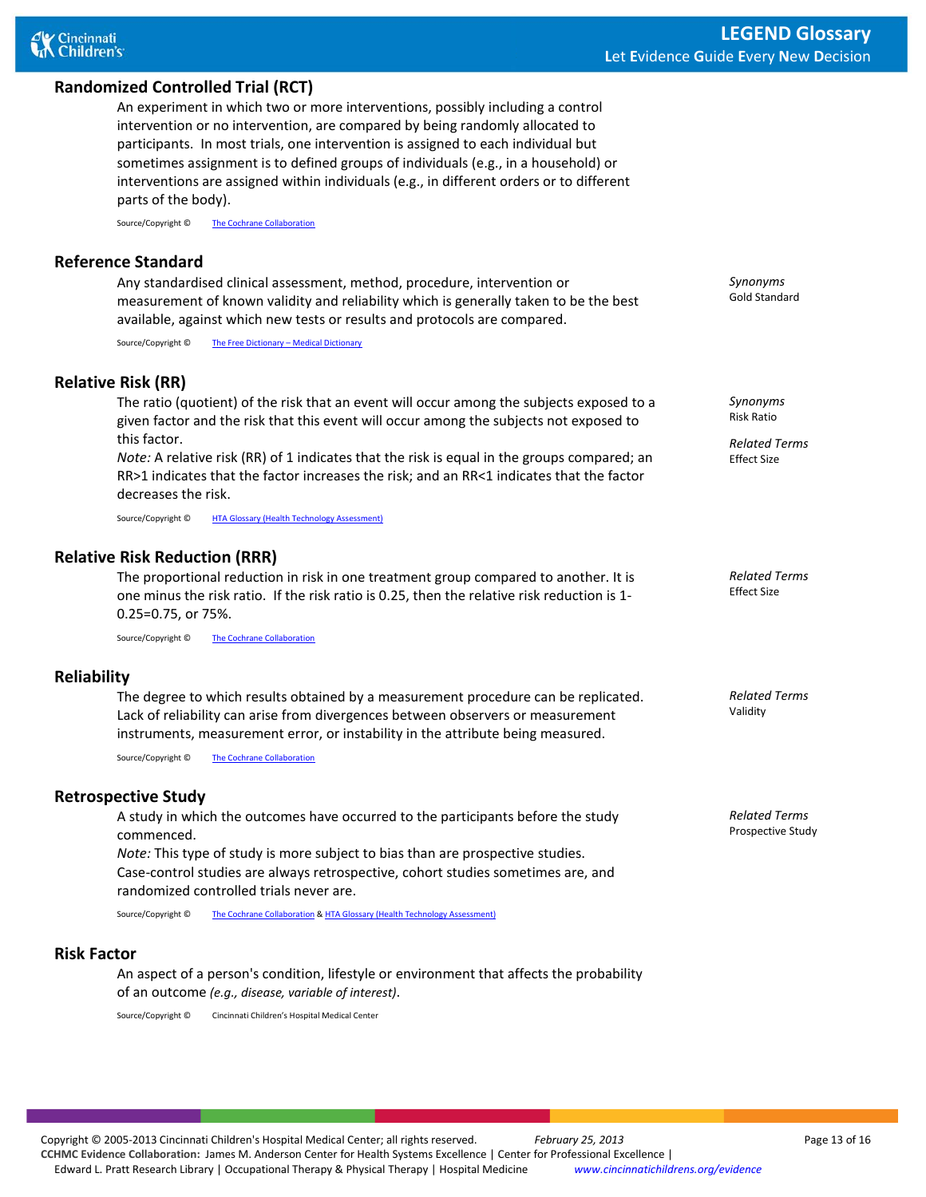### **Randomized Controlled Trial (RCT)**

An experiment in which two or more interventions, possibly including a control intervention or no intervention, are compared by being randomly allocated to participants. In most trials, one intervention is assigned to each individual but sometimes assignment is to defined groups of individuals (e.g., in a household) or interventions are assigned within individuals (e.g., in different orders or to different parts of the body).

Source/Copyright © [The Cochrane Collaboration](http://www.cochrane.org/glossary/5#term371)

### **Reference Standard**

Any standardised clinical assessment, method, procedure, intervention or measurement of known validity and reliability which is generally taken to be the best available, against which new tests or results and protocols are compared.

Source/Copyright © [The Free Dictionary –](http://medical-dictionary.thefreedictionary.com/Reference+Standard) Medical Dictionary

### **Relative Risk (RR)**

The ratio (quotient) of the risk that an event will occur among the subjects exposed to a given factor and the risk that this event will occur among the subjects not exposed to this factor.

*Note:* A relative risk (RR) of 1 indicates that the risk is equal in the groups compared; an RR>1 indicates that the factor increases the risk; and an RR<1 indicates that the factor decreases the risk.

Source/Copyright © [HTA Glossary \(Health Technology Assessment\)](http://htaglossary.net/tiki-index.php?page=validity)

### **Relative Risk Reduction (RRR)**

The proportional reduction in risk in one treatment group compared to another. It is one minus the risk ratio. If the risk ratio is 0.25, then the relative risk reduction is 1- 0.25=0.75, or 75%.

Source/Copyright © [The Cochrane Collaboration](http://www.cochrane.org/glossary/5#term394)

#### **Reliability**

The degree to which results obtained by a measurement procedure can be replicated. Lack of reliability can arise from divergences between observers or measurement instruments, measurement error, or instability in the attribute being measured.

Source/Copyright © [The Cochrane Collaboration](http://www.cochrane.org/glossary/5#term394)

### **Retrospective Study**

A study in which the outcomes have occurred to the participants before the study commenced. *Note:* This type of study is more subject to bias than are prospective studies. Case-control studies are always retrospective, cohort studies sometimes are, and randomized controlled trials never are.

Source/Copyright © [The Cochrane Collaboration](http://www.cochrane.org/glossary/5#term394) [& HTA Glossary \(Health Technology Assessment\)](http://htaglossary.net/tiki-index.php?page=validity)

#### **Risk Factor**

An aspect of a person's condition, lifestyle or environment that affects the probability of an outcome *(e.g., disease, variable of interest)*.

<span id="page-12-0"></span>Source/Copyright © Cincinnati Children's Hospital Medical Center

*Synonyms* Gold Standard

*Synonyms* Risk Ratio

*Related Terms* Effect Size

*Related Terms* Effect Size

*Related Terms* Validity

*Related Terms* Prospective Study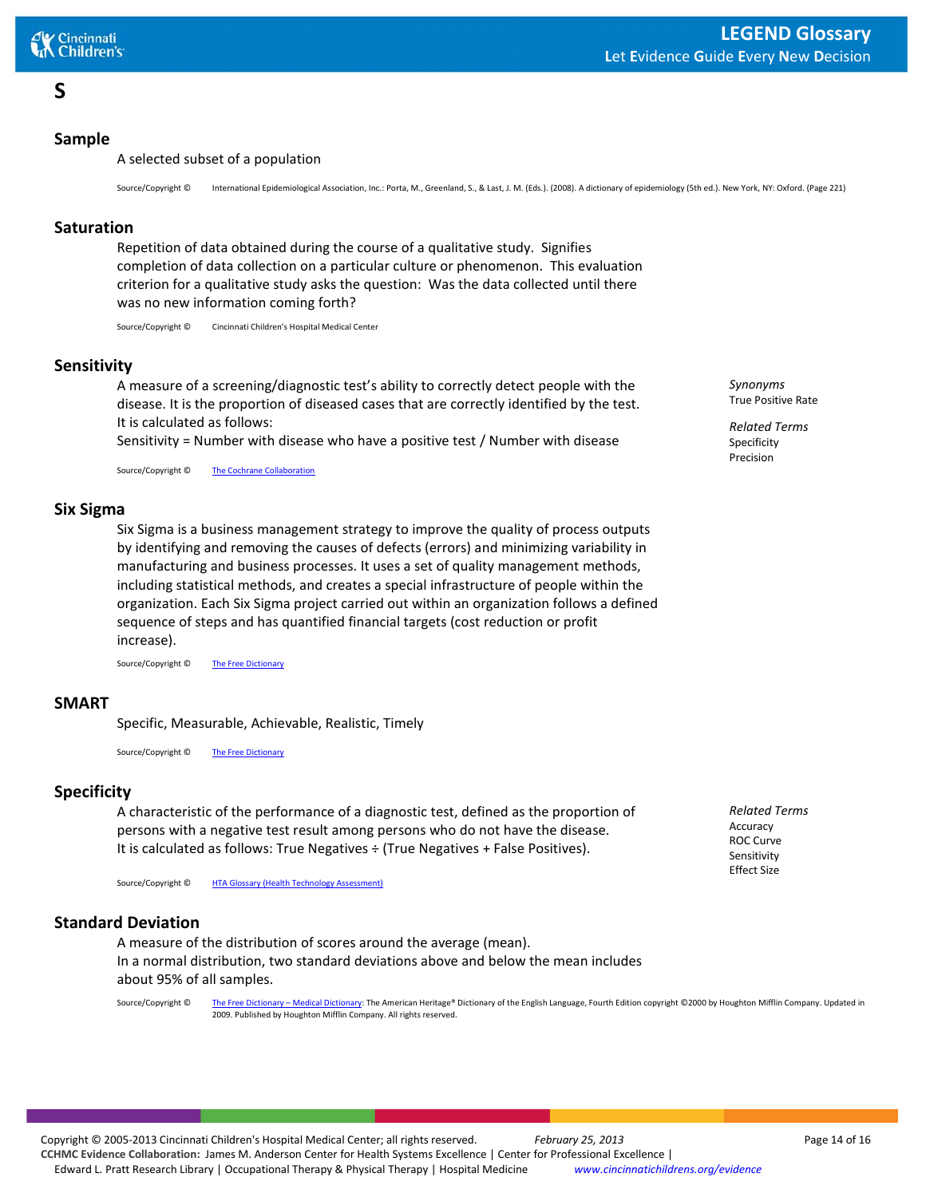# **S**

### **Sample**

A selected subset of a population

Source/Copyright © International Epidemiological Association, Inc.: Porta, M., Greenland, S., & Last, J. M. (Eds.). (2008). A dictionary of epidemiology (5th ed.). New York, NY: Oxford. (Page 221)

### **Saturation**

Repetition of data obtained during the course of a qualitative study. Signifies completion of data collection on a particular culture or phenomenon. This evaluation criterion for a qualitative study asks the question: Was the data collected until there was no new information coming forth?

Source/Copyright © Cincinnati Children's Hospital Medical Center

### **Sensitivity**

A measure of a screening/diagnostic test's ability to correctly detect people with the disease. It is the proportion of diseased cases that are correctly identified by the test. It is calculated as follows:

Sensitivity = Number with disease who have a positive test / Number with disease

Source/Copyright © [The Cochrane Collaboration](http://www.cochrane.org/glossary/5#letters)

### **Six Sigma**

Six Sigma is a business management strategy to improve the quality of process outputs by identifying and removing the causes of defects (errors) and minimizing variability in manufacturing and business processes. It uses a set of quality management methods, including statistical methods, and creates a special infrastructure of people within the organization. Each Six Sigma project carried out within an organization follows a defined sequence of steps and has quantified financial targets (cost reduction or profit increase).

Source/Copyright © [The Free Dictionary](http://encyclopedia.thefreedictionary.com/six+sigma)

### **SMART**

Specific, Measurable, Achievable, Realistic, Timely

Source/Copyright © [The Free Dictionary](http://acronyms.thefreedictionary.com/SMART)

### **Specificity**

A characteristic of the performance of a diagnostic test, defined as the proportion of persons with a negative test result among persons who do not have the disease. It is calculated as follows: True Negatives ÷ (True Negatives + False Positives).

Source/Copyright © [HTA Glossary \(Health Technology Assessment\)](http://htaglossary.net/tiki-index.php?page=validity)

### **Standard Deviation**

A measure of the distribution of scores around the average (mean). In a normal distribution, two standard deviations above and below the mean includes about 95% of all samples.

Source/Copyright © [The Free Dictionary –](http://www.thefreedictionary.com/standard+deviation) Medical Dictionary: The American Heritage® Dictionary of the English Language, Fourth Edition copyright ©2000 by Houghton Mifflin Company. Updated in 2009. Published by Houghton Mifflin Company. All rights reserved.

*Synonyms* True Positive Rate

*Related Terms* Specificity Precision

*Related Terms* Accuracy ROC Curve Sensitivity Effect Size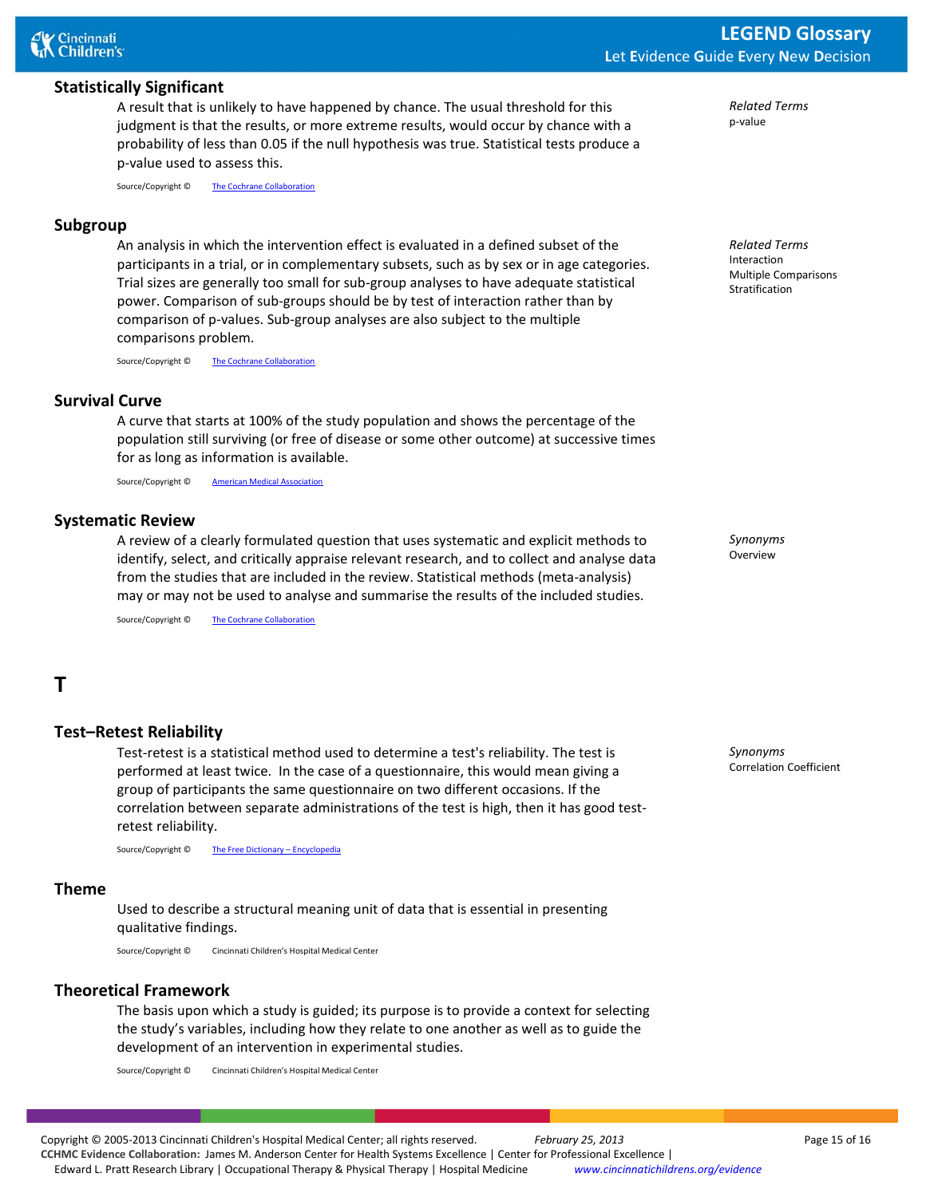*Related Terms* p-value

### **Statistically Significant**

A result that is unlikely to have happened by chance. The usual threshold for this judgment is that the results, or more extreme results, would occur by chance with a probability of less than 0.05 if the null hypothesis was true. Statistical tests produce a p-value used to assess this.

Source/Copyright © [The Cochrane Collaboration](http://www.cochrane.org/glossary/5#letters)

### **Subgroup**

An analysis in which the intervention effect is evaluated in a defined subset of the participants in a trial, or in complementary subsets, such as by sex or in age categories. Trial sizes are generally too small for sub-group analyses to have adequate statistical power. Comparison of sub-groups should be by test of interaction rather than by comparison of p-values. Sub-group analyses are also subject to the multiple comparisons problem.

Source/Copyright © [The Cochrane Collaboration](http://www.cochrane.org/glossary/5#letters)

### **Survival Curve**

A curve that starts at 100% of the study population and shows the percentage of the population still surviving (or free of disease or some other outcome) at successive times for as long as information is available.

Source/Copyright © [American Medical Association](http://www.jamaevidence.com/glossary/S)

#### **Systematic Review**

A review of a clearly formulated question that uses systematic and explicit methods to identify, select, and critically appraise relevant research, and to collect and analyse data from the studies that are included in the review. Statistical methods (meta-analysis) may or may not be used to analyse and summarise the results of the included studies.

Source/Copyright © [The Cochrane Collaboration](http://www.cochrane.org/glossary/5#letters)

# <span id="page-14-0"></span>**T**

### **Test–Retest Reliability**

Test-retest is a statistical method used to determine a test's reliability. The test is performed at least twice. In the case of a questionnaire, this would mean giving a group of participants the same questionnaire on two different occasions. If the correlation between separate administrations of the test is high, then it has good testretest reliability.

Source/Copyright © [The Free Dictionary –](http://encyclopedia.thefreedictionary.com/Test-retest+reliability) Encyclopedia

#### **Theme**

Used to describe a structural meaning unit of data that is essential in presenting qualitative findings.

Source/Copyright © Cincinnati Children's Hospital Medical Center

#### **Theoretical Framework**

The basis upon which a study is guided; its purpose is to provide a context for selecting the study's variables, including how they relate to one another as well as to guide the development of an intervention in experimental studies.

Source/Copyright © Cincinnati Children's Hospital Medical Center

Copyright © 2005-2013 Cincinnati Children's Hospital Medical Center; all rights reserved. *February 25, 2013* Page 15 of 16 **CCHMC Evidence Collaboration:** James M. Anderson Center for Health Systems Excellence | Center for Professional Excellence | Edward L. Pratt Research Library | Occupational Therapy & Physical Therapy | Hospital Medicine *www.cincinnatichildrens.org/evidence*

*Related Terms* Interaction Multiple Comparisons Stratification

*Synonyms* Overview

*Synonyms* Correlation Coefficient